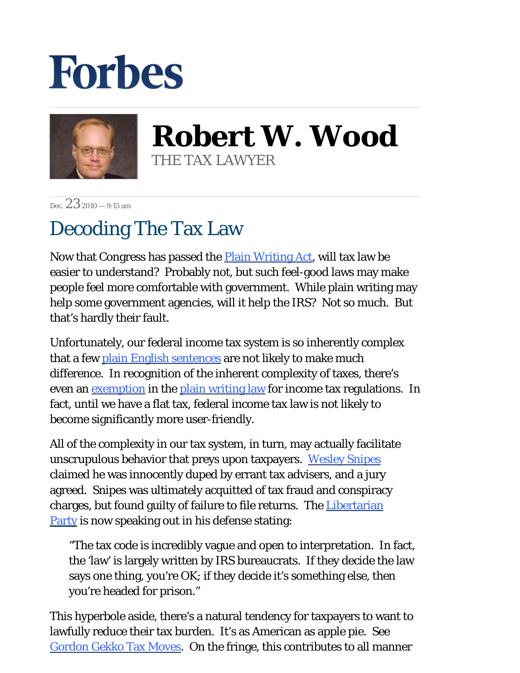## **Forbes**



**Robert W. Wood** THE TAX LAWYER

Dec.  $232010 - 9:15$  am

## Decoding The Tax Law

Now that Congress has passed the [Plain Writing Act,](http://www.govtrack.us/congress/bill.xpd?bill=h111-946&tab=summary) will tax law be easier to understand? Probably not, but such feel-good laws may make people feel more comfortable with government. While plain writing may help some government agencies, will it help the IRS? Not so much. But that's hardly their fault.

Unfortunately, our federal income tax system is so inherently complex that a few [plain English sentences](http://blogs.forbes.com/robertwood/2010/10/01/plainspoken-tax-law/) are not likely to make much difference. In recognition of the inherent complexity of taxes, there's even an <u>exemption</u> in the [plain writing law](http://thomas.loc.gov/cgi-bin/query/z?c111:H.R.946:) for income tax regulations. In fact, until we have a flat tax, federal income tax law is not likely to become significantly more user-friendly.

All of the complexity in our tax system, in turn, may actually facilitate unscrupulous behavior that preys upon taxpayers. [Wesley Snipes](http://www.cnn.com/2010/SHOWBIZ/celebrity.news.gossip/12/07/snipes.jail/) claimed he was innocently duped by errant tax advisers, and a jury agreed. Snipes was ultimately acquitted of tax fraud and conspiracy charges, but found guilty of failure to file returns. The [Libertarian](http://www.lp.org/news/press-releases/wes-for-wesley-snipes)  [Party](http://www.lp.org/news/press-releases/wes-for-wesley-snipes) is now speaking out in his defense stating:

"The tax code is incredibly vague and open to interpretation. In fact, the 'law' is largely written by IRS bureaucrats. If they decide the law says one thing, you're OK; if they decide it's something else, then you're headed for prison."

This hyperbole aside, there's a natural tendency for taxpayers to want to lawfully reduce their tax burden. It's as American as apple pie. See [Gordon Gekko Tax Moves.](http://blogs.forbes.com/robertwood/2010/09/20/gordon-gekko-tax-moves/) On the fringe, this contributes to all manner